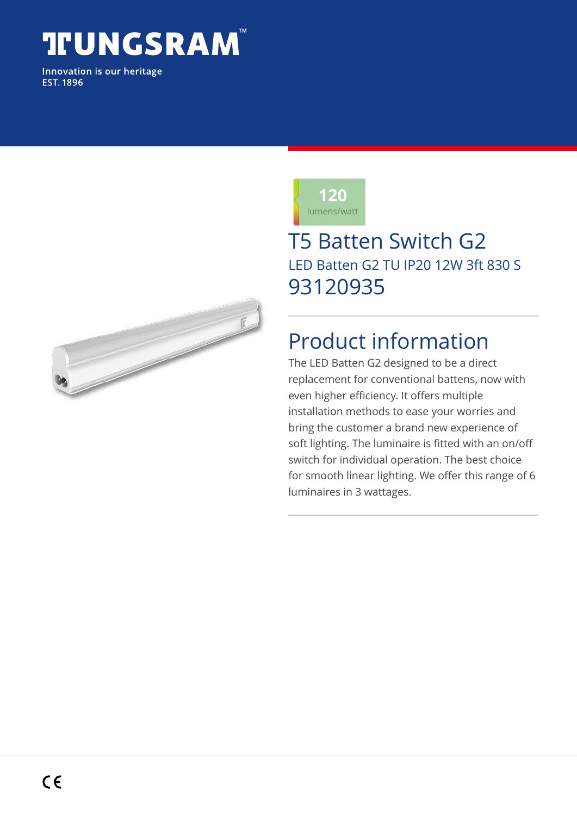# **TUNGSRAM**

Innovation is our heritage **EST. 1896** 





## T5 Batten Switch G2 LED Batten G2 TU IP20 12W 3ft 830 S 93120935

# Product information

The LED Batten G2 designed to be a direct replacement for conventional battens, now with even higher efficiency. It offers multiple installation methods to ease your worries and bring the customer a brand new experience of soft lighting. The luminaire is fitted with an on/off switch for individual operation. The best choice for smooth linear lighting. We offer this range of 6 luminaires in 3 wattages.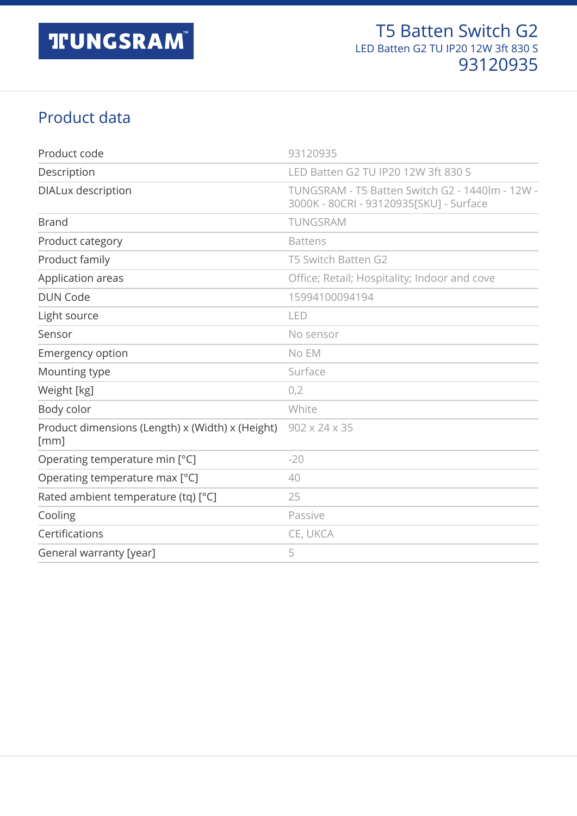#### Product data

| Product code                                             | 93120935                                                                                   |
|----------------------------------------------------------|--------------------------------------------------------------------------------------------|
| Description                                              | LED Batten G2 TU IP20 12W 3ft 830 S                                                        |
| DIALux description                                       | TUNGSRAM - T5 Batten Switch G2 - 1440lm - 12W -<br>3000K - 80CRI - 93120935[SKU] - Surface |
| <b>Brand</b>                                             | TUNGSRAM                                                                                   |
| Product category                                         | <b>Battens</b>                                                                             |
| Product family                                           | T5 Switch Batten G2                                                                        |
| Application areas                                        | Office; Retail; Hospitality; Indoor and cove                                               |
| <b>DUN Code</b>                                          | 15994100094194                                                                             |
| Light source                                             | LED                                                                                        |
| Sensor                                                   | No sensor                                                                                  |
| <b>Emergency option</b>                                  | No EM                                                                                      |
| Mounting type                                            | Surface                                                                                    |
| Weight [kg]                                              | 0,2                                                                                        |
| Body color                                               | White                                                                                      |
| Product dimensions (Length) x (Width) x (Height)<br>[mm] | 902 x 24 x 35                                                                              |
| Operating temperature min [°C]                           | $-20$                                                                                      |
| Operating temperature max [°C]                           | 40                                                                                         |
| Rated ambient temperature (tq) [°C]                      | 25                                                                                         |
| Cooling                                                  | Passive                                                                                    |
| Certifications                                           | CE, UKCA                                                                                   |
| General warranty [year]                                  | 5                                                                                          |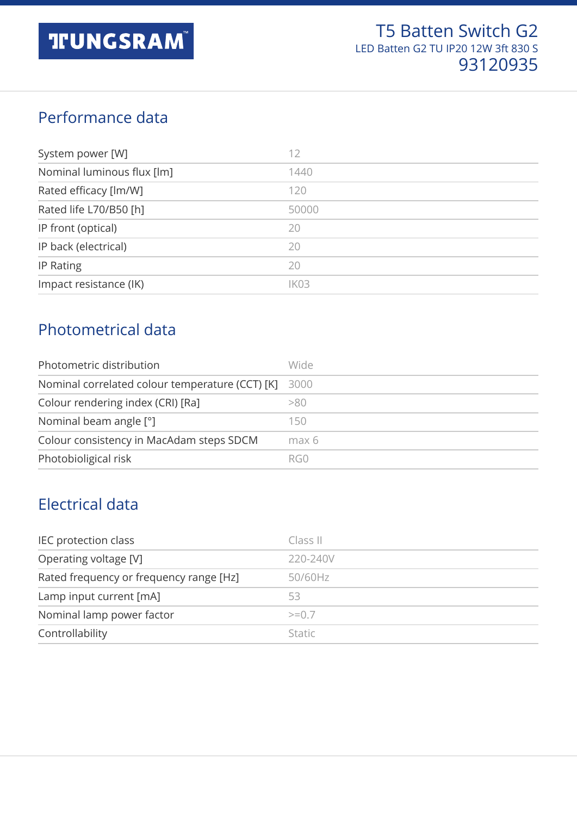#### Performance data

| System power [W]           | 12    |
|----------------------------|-------|
| Nominal luminous flux [lm] | 1440  |
| Rated efficacy [lm/W]      | 120   |
| Rated life L70/B50 [h]     | 50000 |
| IP front (optical)         | 20    |
| IP back (electrical)       | 20    |
| IP Rating                  | 20    |
| Impact resistance (IK)     | IK03  |

#### Photometrical data

| Photometric distribution                        | Wide  |
|-------------------------------------------------|-------|
| Nominal correlated colour temperature (CCT) [K] | 3000  |
| Colour rendering index (CRI) [Ra]               | >80   |
| Nominal beam angle [°]                          | 150   |
| Colour consistency in MacAdam steps SDCM        | max 6 |
| Photobioligical risk                            | RG0   |

#### Electrical data

| IEC protection class                    | Class II      |
|-----------------------------------------|---------------|
| Operating voltage [V]                   | 220-240V      |
| Rated frequency or frequency range [Hz] | 50/60Hz       |
| Lamp input current [mA]                 | 53            |
| Nominal lamp power factor               | $>=0.7$       |
| Controllability                         | <b>Static</b> |